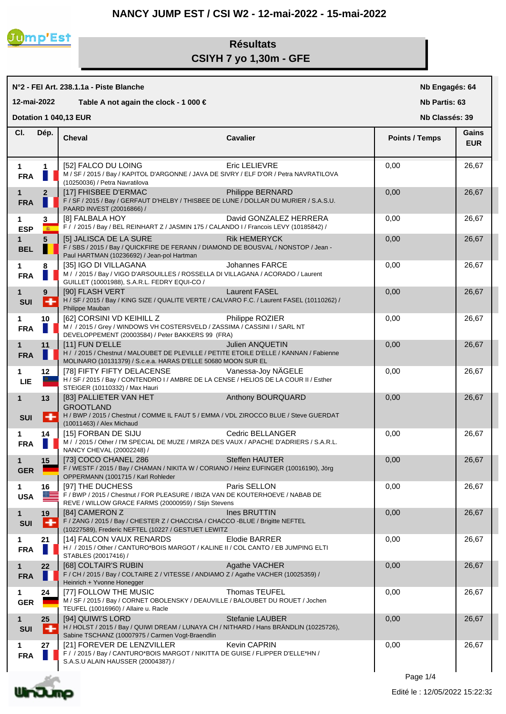## **NANCY JUMP EST / CSI W2 - 12-mai-2022 - 15-mai-2022**



## **Résultats CSIYH 7 yo 1,30m - GFE**

**N°2 - FEI Art. 238.1.1a - Piste Blanche 12-mai-2022 Table A not again the clock - 1 000 €** **Nb Engagés: 64**

**Nb Partis: 63**

**Dotation 1 040,13 EUR** 

**Nb Classés: 39** 

| CI.                       | Dép.              | <b>Cheval</b>                                                                                                                                                                                                                                                      | <b>Cavalier</b>        | <b>Points / Temps</b> | Gains<br><b>EUR</b> |
|---------------------------|-------------------|--------------------------------------------------------------------------------------------------------------------------------------------------------------------------------------------------------------------------------------------------------------------|------------------------|-----------------------|---------------------|
| 1<br><b>FRA</b>           | 1                 | [52] FALCO DU LOING<br>M / SF / 2015 / Bay / KAPITOL D'ARGONNE / JAVA DE SIVRY / ELF D'OR / Petra NAVRATILOVA<br>(10250036) / Petra Navratilova                                                                                                                    | Eric LELIEVRE          | 0,00                  | 26,67               |
| 1.<br><b>FRA</b>          | $\mathbf{2}$      | [17] FHISBEE D'ERMAC<br><b>STATE OF STATE OF STATE OF STATE OF STATE OF STATE OF STATE OF STATE OF STATE OF STATE OF STATE OF STATE OF S</b><br>F / SF / 2015 / Bay / GERFAUT D'HELBY / THISBEE DE LUNE / DOLLAR DU MURIER / S.A.S.U.<br>PAARD INVEST (20016866) / | Philippe BERNARD       | 0,00                  | 26,67               |
| 1.<br><b>ESP</b>          | 3<br>$\mathbf{a}$ | [8] FALBALA HOY<br>F / / 2015 / Bay / BEL REINHART Z / JASMIN 175 / CALANDO I / Francois LEVY (10185842) /                                                                                                                                                         | David GONZALEZ HERRERA | 0,00                  | 26,67               |
| $1 \quad$<br><b>BEL</b>   | 5                 | [5] JALISCA DE LA SURE<br>F / SBS / 2015 / Bay / QUICKFIRE DE FERANN / DIAMOND DE BOUSVAL / NONSTOP / Jean -<br>Paul HARTMAN (10236692) / Jean-pol Hartman                                                                                                         | <b>Rik HEMERYCK</b>    | 0,00                  | 26,67               |
| 1<br><b>FRA</b>           | 8                 | [35] IGO DI VILLAGANA<br>M / / 2015 / Bay / VIGO D'ARSOUILLES / ROSSELLA DI VILLAGANA / ACORADO / Laurent<br>GUILLET (10001988), S.A.R.L. FEDRY EQUI-CO /                                                                                                          | Johannes FARCE         | 0,00                  | 26,67               |
| 1<br><b>SUI</b>           | $9^{\circ}$<br>÷  | [90] FLASH VERT<br>H / SF / 2015 / Bay / KING SIZE / QUALITE VERTE / CALVARO F.C. / Laurent FASEL (10110262) /<br>Philippe Mauban                                                                                                                                  | <b>Laurent FASEL</b>   | 0,00                  | 26,67               |
| 1<br><b>FRA</b>           | 10                | [62] CORSINI VD KEIHILL Z<br>M / / 2015 / Grey / WINDOWS VH COSTERSVELD / ZASSIMA / CASSINI I / SARL NT<br>DEVELOPPEMENT (20003584) / Peter BAKKERS 99 (FRA)                                                                                                       | Philippe ROZIER        | 0,00                  | 26,67               |
| 1.<br><b>FRA</b>          | 11                | [11] FUN D'ELLE<br>H / / 2015 / Chestnut / MALOUBET DE PLEVILLE / PETITE ETOILE D'ELLE / KANNAN / Fabienne<br>MOLINARO (10131379) / S.c.e.a. HARAS D'ELLE 50680 MOON SUR EL                                                                                        | Julien ANQUETIN        | 0,00                  | 26,67               |
| <b>LIE</b>                | 12 <sup>°</sup>   | [78] FIFTY FIFTY DELACENSE<br>H / SF / 2015 / Bay / CONTENDRO I / AMBRE DE LA CENSE / HELIOS DE LA COUR II / Esther<br>STEIGER (10110332) / Max Hauri                                                                                                              | Vanessa-Joy NÄGELE     | 0,00                  | 26,67               |
| $\mathbf 1$<br><b>SUI</b> | 13<br>٠           | [83] PALLIETER VAN HET<br><b>GROOTLAND</b><br>H / BWP / 2015 / Chestnut / COMME IL FAUT 5 / EMMA / VDL ZIROCCO BLUE / Steve GUERDAT<br>(10011463) / Alex Michaud                                                                                                   | Anthony BOURQUARD      | 0,00                  | 26,67               |
| 1<br><b>FRA</b>           | 14                | [15] FORBAN DE SIJU<br>M / / 2015 / Other / I'M SPECIAL DE MUZE / MIRZA DES VAUX / APACHE D'ADRIERS / S.A.R.L.<br>NANCY CHEVAL (20002248) /                                                                                                                        | Cedric BELLANGER       | 0,00                  | 26,67               |
| 1<br><b>GER</b>           | 15                | [73] COCO CHANEL 286<br>F / WESTF / 2015 / Bay / CHAMAN / NIKITA W / CORIANO / Heinz EUFINGER (10016190), Jörg<br>OPPERMANN (1001715 / Karl Rohleder                                                                                                               | Steffen HAUTER         | 0,00                  | 26,67               |
| 1<br><b>USA</b>           | 16<br>$\alpha =$  | [97] THE DUCHESS<br>F / BWP / 2015 / Chestnut / FOR PLEASURE / IBIZA VAN DE KOUTERHOEVE / NABAB DE<br>REVE / WILLOW GRACE FARMS (20000959) / Stijn Stevens                                                                                                         | Paris SELLON           | 0,00                  | 26,67               |
| 1<br><b>SUI</b>           | 19<br>٠           | [84] CAMERON Z<br>F / ZANG / 2015 / Bay / CHESTER Z / CHACCISA / CHACCO -BLUE / Brigitte NEFTEL<br>(10227589), Frederic NEFTEL (10227 / GESTUET LEWITZ                                                                                                             | Ines BRUTTIN           | 0,00                  | 26,67               |
| 1<br><b>FRA</b>           | 21                | [14] FALCON VAUX RENARDS<br>H / / 2015 / Other / CANTURO*BOIS MARGOT / KALINE II / COL CANTO / EB JUMPING ELTI<br>STABLES (20017416) /                                                                                                                             | <b>Elodie BARRER</b>   | 0,00                  | 26,67               |
| $\mathbf 1$<br><b>FRA</b> | 22                | [68] COLTAIR'S RUBIN<br>F / CH / 2015 / Bay / COLTAIRE Z / VITESSE / ANDIAMO Z / Agathe VACHER (10025359) /<br>Heinrich + Yvonne Honegger                                                                                                                          | Agathe VACHER          | 0,00                  | 26,67               |
| 1<br><b>GER</b>           | 24                | <b>I771 FOLLOW THE MUSIC</b><br>M / SF / 2015 / Bay / CORNET OBOLENSKY / DEAUVILLE / BALOUBET DU ROUET / Jochen<br>TEUFEL (10016960) / Allaire u. Racle                                                                                                            | Thomas TEUFEL          | 0,00                  | 26,67               |
| $\mathbf 1$<br><b>SUI</b> | 25<br>۰           | [94] QUIWI'S LORD<br>H / HOLST / 2015 / Bay / QUIWI DREAM / LUNAYA CH / NITHARD / Hans BRÄNDLIN (10225726),<br>Sabine TSCHANZ (10007975 / Carmen Vogt-Braendlin                                                                                                    | <b>Stefanie LAUBER</b> | 0,00                  | 26,67               |
| 1.<br><b>FRA</b>          | 27                | [21] FOREVER DE LENZVILLER<br>F / / 2015 / Bay / CANTURO*BOIS MARGOT / NIKITTA DE GUISE / FLIPPER D'ELLE*HN /<br>S.A.S.U ALAIN HAUSSER (20004387) /                                                                                                                | <b>Kevin CAPRIN</b>    | 0,00                  | 26,67               |



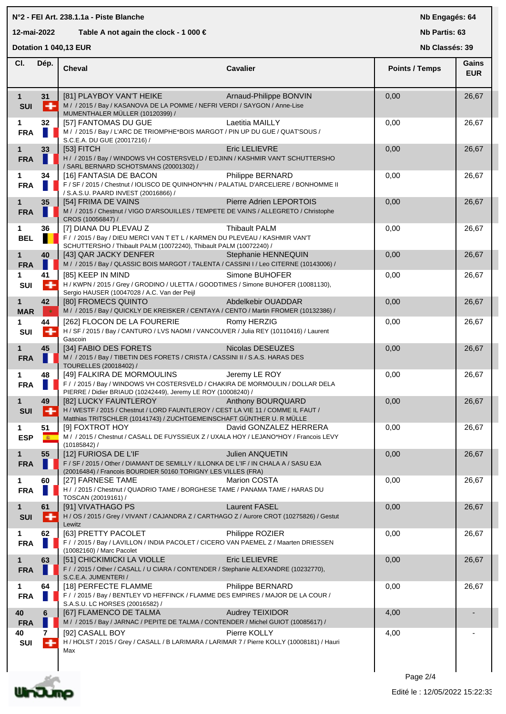|                                                          | N°2 - FEI Art. 238.1.1a - Piste Blanche<br>Nb Engagés: 64 |                                                                                                                                                                                    |                                       |                       |                     |  |
|----------------------------------------------------------|-----------------------------------------------------------|------------------------------------------------------------------------------------------------------------------------------------------------------------------------------------|---------------------------------------|-----------------------|---------------------|--|
| 12-mai-2022<br>Table A not again the clock - 1 000 $\in$ |                                                           |                                                                                                                                                                                    |                                       | Nb Partis: 63         |                     |  |
| Dotation 1 040,13 EUR<br>Nb Classés: 39                  |                                                           |                                                                                                                                                                                    |                                       |                       |                     |  |
| CI.                                                      | Dép.                                                      | Cheval                                                                                                                                                                             | <b>Cavalier</b>                       | <b>Points / Temps</b> | Gains<br><b>EUR</b> |  |
| $\mathbf 1$<br><b>SUI</b>                                | 31<br>⊢                                                   | [81] PLAYBOY VAN'T HEIKE<br>M / / 2015 / Bay / KASANOVA DE LA POMME / NEFRI VERDI / SAYGON / Anne-Lise<br>MUMENTHALER MÜLLER (10120399) /                                          | Arnaud-Philippe BONVIN                | 0,00                  | 26,67               |  |
| 1<br><b>FRA</b>                                          | 32                                                        | [57] FANTOMAS DU GUE<br>M / / 2015 / Bay / L'ARC DE TRIOMPHE*BOIS MARGOT / PIN UP DU GUE / QUAT'SOUS /<br>S.C.E.A. DU GUE (20017216) /                                             | Laetitia MAILLY                       | 0,00                  | 26,67               |  |
| $\mathbf{1}$<br><b>FRA</b>                               | 33                                                        | $[53]$ FITCH<br>H / / 2015 / Bay / WINDOWS VH COSTERSVELD / E'DJINN / KASHMIR VAN'T SCHUTTERSHO<br>/ SARL BERNARD SCHOTSMANS (20001302) /                                          | Eric LELIEVRE                         | 0,00                  | 26,67               |  |
| 1<br><b>FRA</b>                                          | 34                                                        | [16] FANTASIA DE BACON<br>F / SF / 2015 / Chestnut / IOLISCO DE QUINHON*HN / PALATIAL D'ARCELIERE / BONHOMME II<br>/ S.A.S.U. PAARD INVEST (20016866) /                            | Philippe BERNARD                      | 0,00                  | 26,67               |  |
| $\mathbf{1}$<br><b>FRA</b>                               | 35                                                        | [54] FRIMA DE VAINS<br>M / / 2015 / Chestnut / VIGO D'ARSOUILLES / TEMPETE DE VAINS / ALLEGRETO / Christophe<br>CROS (10056847) /                                                  | Pierre Adrien LEPORTOIS               | 0,00                  | 26,67               |  |
| 1<br><b>BEL</b>                                          | 36                                                        | [7] DIANA DU PLEVAU Z<br>F / / 2015 / Bay / DIEU MERCI VAN T ET L / KARMEN DU PLEVEAU / KASHMIR VAN'T<br>SCHUTTERSHO / Thibault PALM (10072240), Thibault PALM (10072240) /        | <b>Thibault PALM</b>                  | 0,00                  | 26,67               |  |
| $\mathbf{1}$<br><b>FRA</b>                               | 40                                                        | [43] QAR JACKY DENFER<br>M / / 2015 / Bay / QLASSIC BOIS MARGOT / TALENTA / CASSINI I / Leo CITERNE (10143006) /                                                                   | Stephanie HENNEQUIN<br>Simone BUHOFER | 0,00                  | 26,67               |  |
| 1<br>SUI                                                 | 41<br>$\ddot{}$                                           | [85] KEEP IN MIND<br>H / KWPN / 2015 / Grey / GRODINO / ULETTA / GOODTIMES / Simone BUHOFER (10081130),<br>Sergio HAUSER (10047028 / A.C. Van der Peijl                            |                                       | 0,00                  | 26,67               |  |
| $\mathbf{1}$<br><b>MAR</b><br>1                          | 42<br>٠<br>44                                             | [80] FROMECS QUINTO<br>M / / 2015 / Bay / QUICKLY DE KREISKER / CENTAYA / CENTO / Martin FROMER (10132386) /<br>[262] FLOCON DE LA FOURERIE                                        | Abdelkebir OUADDAR<br>Romy HERZIG     | 0,00<br>0,00          | 26,67<br>26,67      |  |
| SUI                                                      | $\overline{+}$                                            | H / SF / 2015 / Bay / CANTURO / LVS NAOMI / VANCOUVER / Julia REY (10110416) / Laurent<br>Gascoin                                                                                  |                                       |                       |                     |  |
| $\mathbf{1}$<br><b>FRA</b>                               | 45                                                        | [34] FABIO DES FORETS<br>M / / 2015 / Bay / TIBETIN DES FORETS / CRISTA / CASSINI II / S.A.S. HARAS DES<br>TOURELLES (20018402) /                                                  | Nicolas DESEUZES                      | 0,00                  | 26,67               |  |
| 1<br><b>FRA</b>                                          | 48                                                        | [49] FALKIRA DE MORMOULINS<br>F / / 2015 / Bay / WINDOWS VH COSTERSVELD / CHAKIRA DE MORMOULIN / DOLLAR DELA<br>PIERRE / Didier BRIAUD (10242449), Jeremy LE ROY (10008240) /      | Jeremy LE ROY                         | 0,00                  | 26,67               |  |
| $\mathbf 1$<br><b>SUI</b>                                | 49<br>H                                                   | [82] LUCKY FAUNTLEROY<br>H / WESTF / 2015 / Chestnut / LORD FAUNTLEROY / CEST LA VIE 11 / COMME IL FAUT /<br>Matthias TRITSCHLER (10141743) / ZUCHTGEMEINSCHAFT GÜNTHER U. R MÜLLE | Anthony BOURQUARD                     | 0,00                  | 26,67               |  |
| 1<br><b>ESP</b>                                          | 51<br>$\mathbf{R}$                                        | [9] FOXTROT HOY<br>M / / 2015 / Chestnut / CASALL DE FUYSSIEUX Z / UXALA HOY / LEJANO*HOY / Francois LEVY<br>(10185842)                                                            | David GONZALEZ HERRERA                | 0,00                  | 26,67               |  |
| $\mathbf{1}$<br><b>FRA</b>                               | 55                                                        | [12] FURIOSA DE L'IF<br>F / SF / 2015 / Other / DIAMANT DE SEMILLY / ILLONKA DE L'IF / IN CHALA A / SASU EJA<br>(20016484) / Francois BOURDIER 50160 TORIGNY LES VILLES (FRA)      | <b>Julien ANQUETIN</b>                | 0,00                  | 26,67               |  |
| 1<br><b>FRA</b>                                          | 60                                                        | [27] FARNESE TAME<br>H / / 2015 / Chestnut / QUADRIO TAME / BORGHESE TAME / PANAMA TAME / HARAS DU<br>TOSCAN (20019161) /                                                          | <b>Marion COSTA</b>                   | 0,00                  | 26,67               |  |
| 1<br><b>SUI</b>                                          | 61<br>⊢                                                   | [91] VIVATHAGO PS<br>H / OS / 2015 / Grey / VIVANT / CAJANDRA Z / CARTHAGO Z / Aurore CROT (10275826) / Gestut<br>Lewitz                                                           | <b>Laurent FASEL</b>                  | 0,00                  | 26,67               |  |
| 1<br><b>FRA</b>                                          | 62                                                        | [63] PRETTY PACOLET<br>F / / 2015 / Bay / LAVILLON / INDIA PACOLET / CICERO VAN PAEMEL Z / Maarten DRIESSEN<br>(10082160) / Marc Pacolet                                           | Philippe ROZIER                       | 0,00                  | 26,67               |  |
| $\mathbf 1$<br><b>FRA</b>                                | 63                                                        | [51] CHICKIMICKI LA VIOLLE<br>F / / 2015 / Other / CASALL / U CIARA / CONTENDER / Stephanie ALEXANDRE (10232770),<br>S.C.E.A. JUMENTERI /                                          | <b>Eric LELIEVRE</b>                  | 0,00                  | 26,67               |  |
| 1<br><b>FRA</b>                                          | 64                                                        | [18] PERFECTE FLAMME<br>F / / 2015 / Bay / BENTLEY VD HEFFINCK / FLAMME DES EMPIRES / MAJOR DE LA COUR /<br>S.A.S.U. LC HORSES (20016582) /                                        | Philippe BERNARD                      | 0,00                  | 26,67               |  |
| 40<br><b>FRA</b>                                         | 6                                                         | [67] FLAMENCO DE TALMA<br>M / / 2015 / Bay / JARNAC / PEPITE DE TALMA / CONTENDER / Michel GUIOT (10085617) /                                                                      | <b>Audrey TEIXIDOR</b>                | 4,00                  |                     |  |
| 40<br>SUI                                                | 7<br>$+$                                                  | [92] CASALL BOY<br>H / HOLST / 2015 / Grey / CASALL / B LARIMARA / LARIMAR 7 / Pierre KOLLY (10008181) / Hauri<br>Max                                                              | Pierre KOLLY                          | 4,00                  |                     |  |

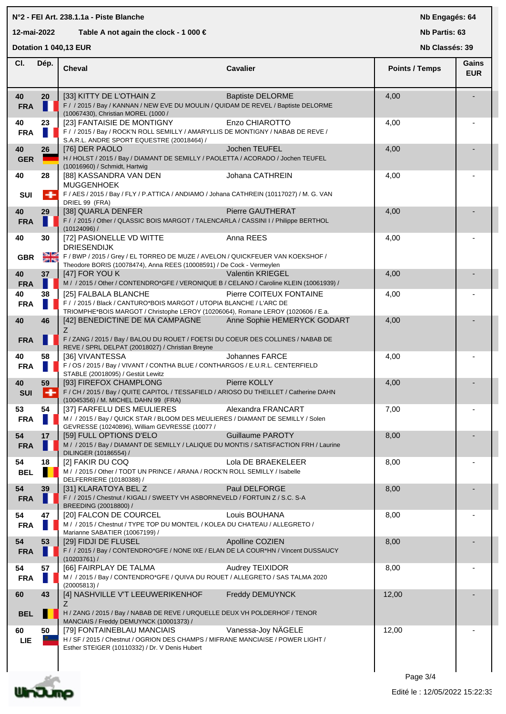| N°2 - FEI Art. 238.1.1a - Piste Blanche                  |         |                                                                                                                                                                                                                         |                         | Nb Engagés: 64        |                     |
|----------------------------------------------------------|---------|-------------------------------------------------------------------------------------------------------------------------------------------------------------------------------------------------------------------------|-------------------------|-----------------------|---------------------|
| 12-mai-2022<br>Table A not again the clock - 1 000 $\in$ |         |                                                                                                                                                                                                                         |                         | Nb Partis: 63         |                     |
|                                                          |         | Dotation 1 040,13 EUR                                                                                                                                                                                                   |                         | Nb Classés: 39        |                     |
| CI.                                                      | Dép.    | <b>Cheval</b>                                                                                                                                                                                                           | <b>Cavalier</b>         | <b>Points / Temps</b> | Gains<br><b>EUR</b> |
| 40<br><b>FRA</b>                                         | 20      | [33] KITTY DE L'OTHAIN Z<br>F / / 2015 / Bay / KANNAN / NEW EVE DU MOULIN / QUIDAM DE REVEL / Baptiste DELORME<br>(10067430), Christian MOREL (1000 /                                                                   | <b>Baptiste DELORME</b> | 4,00                  |                     |
| 40<br><b>FRA</b>                                         | 23      | [23] FANTAISIE DE MONTIGNY<br>F / / 2015 / Bay / ROCK'N ROLL SEMILLY / AMARYLLIS DE MONTIGNY / NABAB DE REVE /<br>S.A.R.L. ANDRE SPORT EQUESTRE (20018464) /                                                            | Enzo CHIAROTTO          | 4,00                  |                     |
| 40<br><b>GER</b>                                         | 26      | [76] DER PAOLO<br>H / HOLST / 2015 / Bay / DIAMANT DE SEMILLY / PAOLETTA / ACORADO / Jochen TEUFEL<br>(10016960) / Schmidt, Hartwig                                                                                     | Jochen TEUFEL           | 4,00                  |                     |
| 40<br>SUI                                                | 28      | [88] KASSANDRA VAN DEN<br><b>MUGGENHOEK</b><br>F / AES / 2015 / Bay / FLY / P.ATTICA / ANDIAMO / Johana CATHREIN (10117027) / M. G. VAN                                                                                 | Johana CATHREIN         | 4,00                  |                     |
| 40<br><b>FRA</b>                                         | 29      | DRIEL 99 (FRA)<br>[38] QUARLA DENFER<br>F / / 2015 / Other / QLASSIC BOIS MARGOT / TALENCARLA / CASSINI I / Philippe BERTHOL                                                                                            | Pierre GAUTHERAT        | 4,00                  |                     |
| 40                                                       | 30      | (10124096) /<br>[72] PASIONELLE VD WITTE<br><b>DRIESENDIJK</b>                                                                                                                                                          | Anna REES               | 4,00                  |                     |
| <b>GBR</b><br>40                                         | 을<br>37 | F / BWP / 2015 / Grey / EL TORREO DE MUZE / AVELON / QUICKFEUER VAN KOEKSHOF /<br>Theodore BORIS (10078474), Anna REES (10008591) / De Cock - Vermeylen<br>[47] FOR YOU K                                               | <b>Valentin KRIEGEL</b> | 4,00                  |                     |
| <b>FRA</b><br>40                                         | 38      | M / / 2015 / Other / CONTENDRO*GFE / VERONIQUE B / CELANO / Caroline KLEIN (10061939) /<br>[25] FALBALA BLANCHE                                                                                                         | Pierre COITEUX FONTAINE | 4,00                  |                     |
| <b>FRA</b><br>40                                         | 46      | F / / 2015 / Black / CANTURO*BOIS MARGOT / UTOPIA BLANCHE / L'ARC DE<br>TRIOMPHE*BOIS MARGOT / Christophe LEROY (10206064), Romane LEROY (1020606 / E.a.<br>[42] BENEDICTINE DE MA CAMPAGNE Anne Sophie HEMERYCK GODART |                         | 4,00                  |                     |
| <b>FRA</b>                                               |         | Z<br>F / ZANG / 2015 / Bay / BALOU DU ROUET / FOETSI DU COEUR DES COLLINES / NABAB DE<br>REVE / SPRL DELPAT (20018027) / Christian Breyne                                                                               |                         |                       |                     |
| 40<br><b>FRA</b>                                         | 58      | [36] VIVANTESSA<br>F / OS / 2015 / Bay / VIVANT / CONTHA BLUE / CONTHARGOS / E.U.R.L. CENTERFIELD<br>STABLE (20018095) / Gestüt Lewitz                                                                                  | Johannes FARCE          | 4,00                  |                     |
| 40<br><b>SUI</b>                                         | 59<br>÷ | [93] FIREFOX CHAMPLONG<br>F / CH / 2015 / Bay / QUITE CAPITOL / TESSAFIELD / ARIOSO DU THEILLET / Catherine DAHN<br>(10045356) / M. MICHEL DAHN 99 (FRA)                                                                | Pierre KOLLY            | 4,00                  |                     |
| 53<br><b>FRA</b>                                         | 54      | [37] FARFELU DES MEULIERES<br>M / / 2015 / Bay / QUICK STAR / BLOOM DES MEULIERES / DIAMANT DE SEMILLY / Solen<br>GEVRESSE (10240896), William GEVRESSE (10077 /                                                        | Alexandra FRANCART      | 7,00                  |                     |
| 54<br><b>FRA</b>                                         | 17      | [59] FULL OPTIONS D'ELO<br>M / / 2015 / Bay / DIAMANT DE SEMILLY / LALIQUE DU MONTIS / SATISFACTION FRH / Laurine<br>DILINGER (10186554) /                                                                              | <b>Guillaume PAROTY</b> | 8,00                  |                     |
| 54<br><b>BEL</b>                                         | 18      | [2] FAKIR DU COQ<br>M / / 2015 / Other / TODT UN PRINCE / ARANA / ROCK'N ROLL SEMILLY / Isabelle<br>DELFERRIERE (10180388) /                                                                                            | Lola DE BRAEKELEER      | 8,00                  |                     |
| 54<br><b>FRA</b>                                         | 39      | [31] KLARATOYA BEL Z<br>F / / 2015 / Chestnut / KIGALI / SWEETY VH ASBORNEVELD / FORTUIN Z / S.C. S-A<br>BREEDING (20018800) /                                                                                          | Paul DELFORGE           | 8,00                  |                     |
| 54<br><b>FRA</b>                                         | 47      | [20] FALCON DE COURCEL<br>M / / 2015 / Chestnut / TYPE TOP DU MONTEIL / KOLEA DU CHATEAU / ALLEGRETO /<br>Marianne SABATIER (10067199) /                                                                                | Louis BOUHANA           | 8,00                  |                     |
| 54<br><b>FRA</b>                                         | 53      | [29] FIDJI DE FLUSEL<br>F / / 2015 / Bay / CONTENDRO*GFE / NONE IXE / ELAN DE LA COUR*HN / Vincent DUSSAUCY<br>(10203761) /                                                                                             | Apolline COZIEN         | 8,00                  |                     |
| 54<br><b>FRA</b>                                         | 57      | [66] FAIRPLAY DE TALMA<br>M / / 2015 / Bay / CONTENDRO*GFE / QUIVA DU ROUET / ALLEGRETO / SAS TALMA 2020<br>$(20005813)$ /                                                                                              | Audrey TEIXIDOR         | 8,00                  |                     |
| 60<br><b>BEL</b>                                         | 43      | [4] NASHVILLE V'T LEEUWERIKENHOF<br>Z<br>H / ZANG / 2015 / Bay / NABAB DE REVE / URQUELLE DEUX VH POLDERHOF / TENOR                                                                                                     | Freddy DEMUYNCK         | 12,00                 |                     |
|                                                          |         | MANCIAIS / Freddy DEMUYNCK (10001373) /                                                                                                                                                                                 |                         |                       |                     |
| 60<br><b>LIE</b>                                         | 50      | [79] FONTAINEBLAU MANCIAIS<br>H / SF / 2015 / Chestnut / OGRION DES CHAMPS / MIFRANE MANCIAISE / POWER LIGHT /<br>Esther STEIGER (10110332) / Dr. V Denis Hubert                                                        | Vanessa-Joy NÄGELE      | 12,00                 |                     |
|                                                          |         |                                                                                                                                                                                                                         |                         | Page 3/4              |                     |



I